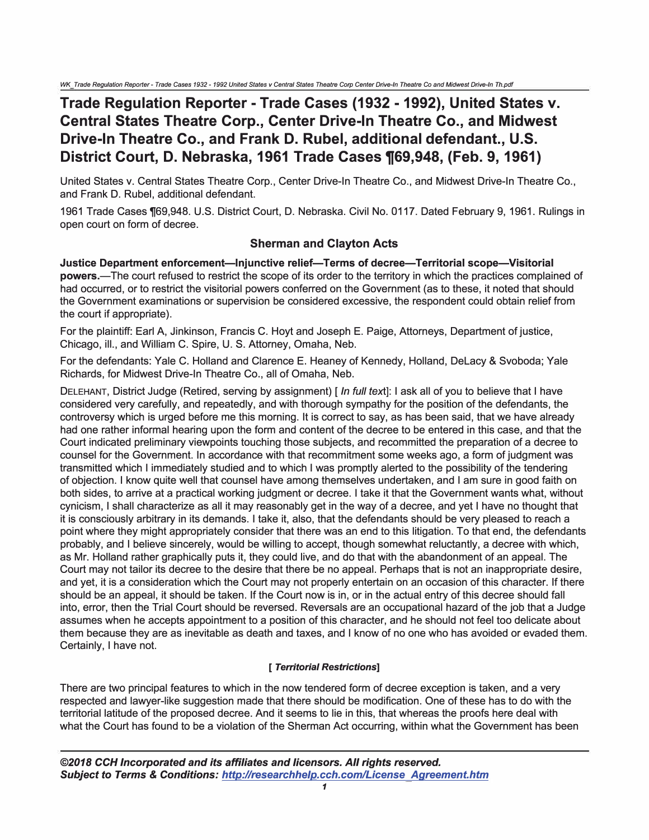## **Trade Regulation Reporter -Trade Cases (1932 -1992), United States v. Central States Theatre Corp., Center Drive-In Theatre Co., and Midwest Drive-In Theatre Co., and Frank D. Rubel, additional defendant., U.S. District Court, D. Nebraska, 1961 Trade Cases 1(69,948, (Feb. 9, 1961)**

United States v. Central States Theatre Corp., Center Drive-In Theatre Co., and Midwest Drive-In Theatre Co., and Frank D. Rubel, additional defendant.

1961 Trade Cases ¶69,948. U.S. District Court, D. Nebraska. Civil No. 0117. Dated February 9, 1961. Rulings in open court on form of decree.

## **Sherman and Clayton Acts**

**Justice Department enforcement-Injunctive relief-Terms of decree-Territorial scope-Visitorial powers.-The** court refused to restrict the scope of its order to the territory in which the practices complained of had occurred, or to restrict the visitorial powers conferred on the Government (as to these, it noted that should the Government examinations or supervision be considered excessive, the respondent could obtain relief from the court if appropriate).

For the plaintiff: Earl A, Jinkinson, Francis C. Hoyt and Joseph E. Paige, Attorneys, Department of justice, Chicago, ill., and William C. Spire, U. S. Attorney, Omaha, Neb.

For the defendants: Yale C. Holland and Clarence E. Heaney of Kennedy, Holland, Delacy & Svoboda; Yale Richards, for Midwest Drive-In Theatre Co., all of Omaha, Neb.

DELEHANT, District Judge (Retired, serving by assignment) [ *In full* text]: I ask all of you to believe that I have considered very carefully, and repeatedly, and with thorough sympathy for the position of the defendants, the controversy which is urged before me this morning. It is correct to say, as has been said, that we have already had one rather informal hearing upon the form and content of the decree to be entered in this case, and that the Court indicated preliminary viewpoints touching those subjects, and recommitted the preparation of a decree to counsel for the Government. In accordance with that recommitment some weeks ago, a form of judgment was transmitted which I immediately studied and to which I was promptly alerted to the possibility of the tendering of objection. I know quite well that counsel have among themselves undertaken, and I am sure in good faith on both sides, to arrive at a practical working judgment or decree. I take it that the Government wants what, without cynicism, I shall characterize as all it may reasonably get in the way of a decree, and yet I have no thought that it is consciously arbitrary in its demands. I take it, also, that the defendants should be very pleased to reach a point where they might appropriately consider that there was an end to this litigation. To that end, the defendants probably, and I believe sincerely, would be willing to accept, though somewhat reluctantly, a decree with which, as Mr. Holland rather graphically puts it, they could live, and do that with the abandonment of an appeal. The Court may not tailor its decree to the desire that there be no appeal. Perhaps that is not an inappropriate desire, and yet, it is a consideration which the Court may not properly entertain on an occasion of this character. If there should be an appeal, it should be taken. If the Court now is in, or in the actual entry of this decree should fall into, error, then the Trial Court should be reversed. Reversals are an occupational hazard of the job that a Judge assumes when he accepts appointment to a position of this character, and he should not feel too delicate about them because they are as inevitable as death and taxes, and I know of no one who has avoided or evaded them. Certainly, I have not.

## *[ Territorial Restrictions]*

There are two principal features to which in the now tendered form of decree exception is taken, and a very respected and lawyer-like suggestion made that there should be modification. One of these has to do with the territorial latitude of the proposed decree. And it seems to lie in this, that whereas the proofs here deal with what the Court has found to be a violation of the Sherman Act occurring, within what the Government has been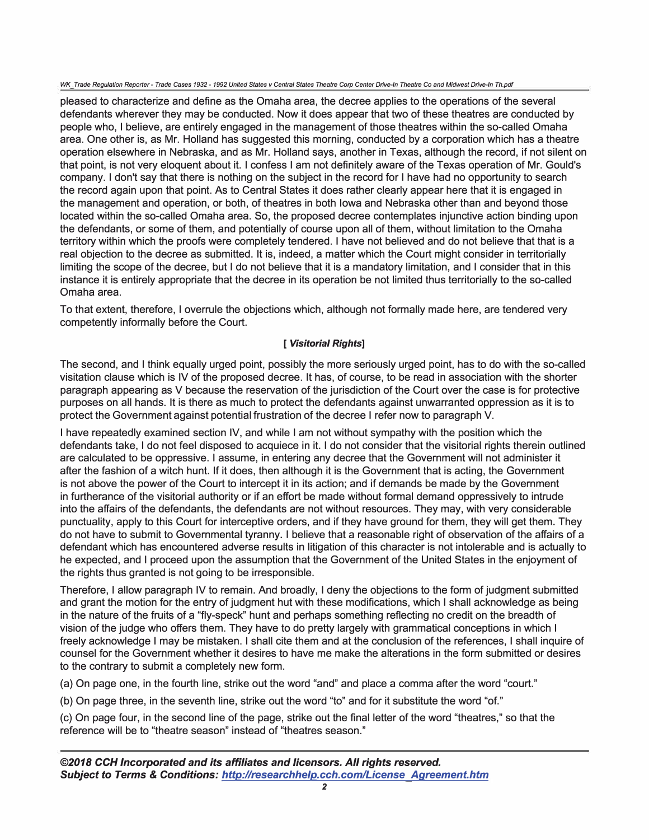*WK Trade Regulation Reporter- Trade* Cases *1932- 1992 United States v Central States Theatre Corp Center Drive-In Theatre* Co *and Midwest Drive-In Th.pdf* 

pleased to characterize and define as the Omaha area, the decree applies to the operations of the several defendants wherever they may be conducted. Now it does appear that two of these theatres are conducted by people who, I believe, are entirely engaged in the management of those theatres within the so-called Omaha area. One other is, as Mr. Holland has suggested this morning, conducted by a corporation which has a theatre operation elsewhere in Nebraska, and as Mr. Holland says, another in Texas, although the record, if not silent on that point, is not very eloquent about it. I confess I am not definitely aware of the Texas operation of Mr. Gould's company. I don't say that there is nothing on the subject in the record for I have had no opportunity to search the record again upon that point. As to Central States it does rather clearly appear here that it is engaged in the management and operation, or both, of theatres in both Iowa and Nebraska other than and beyond those located within the so-called Omaha area. So, the proposed decree contemplates injunctive action binding upon the defendants, or some of them, and potentially of course upon all of them, without limitation to the Omaha territory within which the proofs were completely tendered. I have not believed and do not believe that that is a real objection to the decree as submitted. It is, indeed, a matter which the Court might consider in territorially limiting the scope of the decree, but I do not believe that it is a mandatory limitation, and I consider that in this instance it is entirely appropriate that the decree in its operation be not limited thus territorially to the so-called Omaha area.

To that extent, therefore, I overrule the objections which, although not formally made here, are tendered very competently informally before the Court.

## *[ Visitorial Rights]*

The second, and I think equally urged point, possibly the more seriously urged point, has to do with the so-called visitation clause which is IV of the proposed decree. It has, of course, to be read in association with the shorter paragraph appearing as V because the reservation of the jurisdiction of the Court over the case is for protective purposes on all hands. It is there as much to protect the defendants against unwarranted oppression as it is to protect the Government against potential frustration of the decree I refer now to paragraph V.

I have repeatedly examined section IV, and while I am not without sympathy with the position which the defendants take, I do not feel disposed to acquiece in it. I do not consider that the visitorial rights therein outlined are calculated to be oppressive. I assume, in entering any decree that the Government will not administer it after the fashion of a witch hunt. If it does, then although it is the Government that is acting, the Government is not above the power of the Court to intercept it in its action; and if demands be made by the Government in furtherance of the visitorial authority or if an effort be made without formal demand oppressively to intrude into the affairs of the defendants, the defendants are not without resources. They may, with very considerable punctuality, apply to this Court for interceptive orders, and if they have ground for them, they will get them. They do not have to submit to Governmental tyranny. I believe that a reasonable right of observation of the affairs of a defendant which has encountered adverse results in litigation of this character is not intolerable and is actually to he expected, and I proceed upon the assumption that the Government of the United States in the enjoyment of the rights thus granted is not going to be irresponsible.

Therefore, I allow paragraph IV to remain. And broadly, I deny the objections to the form of judgment submitted and grant the motion for the entry of judgment hut with these modifications, which I shall acknowledge as being in the nature of the fruits of a "fly-speck" hunt and perhaps something reflecting no credit on the breadth of vision of the judge who offers them. They have to do pretty largely with grammatical conceptions in which I freely acknowledge I may be mistaken. I shall cite them and at the conclusion of the references, I shall inquire of counsel for the Government whether it desires to have me make the alterations in the form submitted or desires to the contrary to submit a completely new form.

(a) On page one, in the fourth line, strike out the word "and" and place a comma after the word "court."

(b) On page three, in the seventh line, strike out the word "to" and for it substitute the word "of."

(c) On page four, in the second line of the page, strike out the final letter of the word "theatres," so that the reference will be to "theatre season" instead of "theatres season."